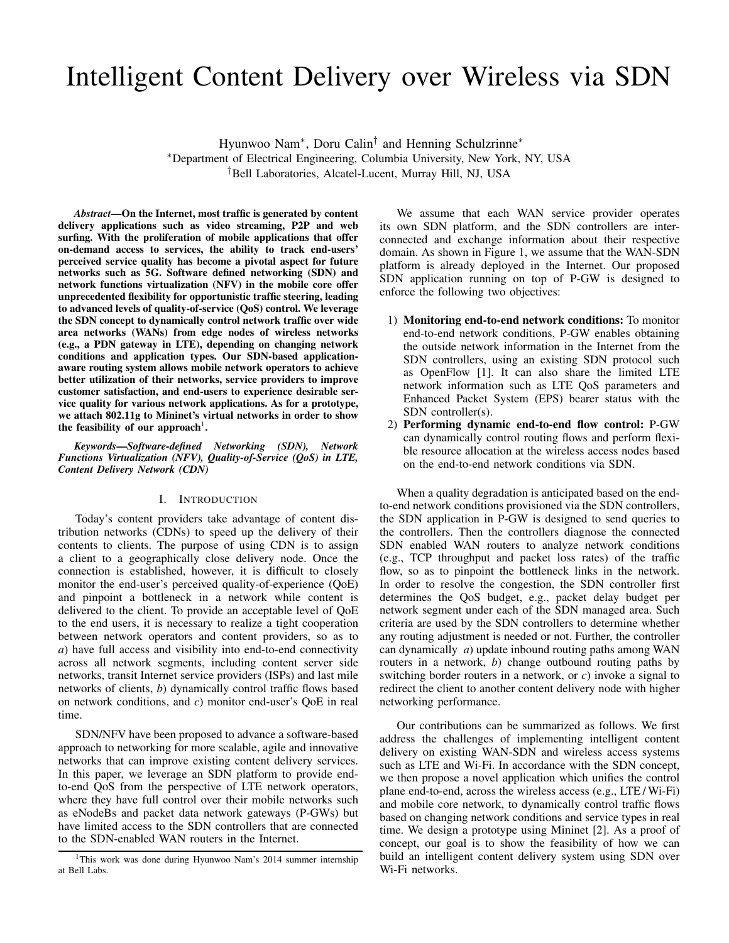# Intelligent Content Delivery over Wireless via SDN

Hyunwoo Nam<sup>∗</sup> , Doru Calin† and Henning Schulzrinne<sup>∗</sup> <sup>∗</sup>Department of Electrical Engineering, Columbia University, New York, NY, USA †Bell Laboratories, Alcatel-Lucent, Murray Hill, NJ, USA

*Abstract*—On the Internet, most traffic is generated by content delivery applications such as video streaming, P2P and web surfing. With the proliferation of mobile applications that offer on-demand access to services, the ability to track end-users' perceived service quality has become a pivotal aspect for future networks such as 5G. Software defined networking (SDN) and network functions virtualization (NFV) in the mobile core offer unprecedented flexibility for opportunistic traffic steering, leading to advanced levels of quality-of-service (QoS) control. We leverage the SDN concept to dynamically control network traffic over wide area networks (WANs) from edge nodes of wireless networks (e.g., a PDN gateway in LTE), depending on changing network conditions and application types. Our SDN-based applicationaware routing system allows mobile network operators to achieve better utilization of their networks, service providers to improve customer satisfaction, and end-users to experience desirable service quality for various network applications. As for a prototype, we attach 802.11g to Mininet's virtual networks in order to show the feasibility of our approach<sup>1</sup>.

*Keywords*—*Software-defined Networking (SDN), Network Functions Virtualization (NFV), Quality-of-Service (QoS) in LTE, Content Delivery Network (CDN)*

# I. INTRODUCTION

Today's content providers take advantage of content distribution networks (CDNs) to speed up the delivery of their contents to clients. The purpose of using CDN is to assign a client to a geographically close delivery node. Once the connection is established, however, it is difficult to closely monitor the end-user's perceived quality-of-experience (QoE) and pinpoint a bottleneck in a network while content is delivered to the client. To provide an acceptable level of QoE to the end users, it is necessary to realize a tight cooperation between network operators and content providers, so as to *a*) have full access and visibility into end-to-end connectivity across all network segments, including content server side networks, transit Internet service providers (ISPs) and last mile networks of clients, *b*) dynamically control traffic flows based on network conditions, and *c*) monitor end-user's QoE in real time.

SDN/NFV have been proposed to advance a software-based approach to networking for more scalable, agile and innovative networks that can improve existing content delivery services. In this paper, we leverage an SDN platform to provide endto-end QoS from the perspective of LTE network operators, where they have full control over their mobile networks such as eNodeBs and packet data network gateways (P-GWs) but have limited access to the SDN controllers that are connected to the SDN-enabled WAN routers in the Internet.

We assume that each WAN service provider operates its own SDN platform, and the SDN controllers are interconnected and exchange information about their respective domain. As shown in Figure 1, we assume that the WAN-SDN platform is already deployed in the Internet. Our proposed SDN application running on top of P-GW is designed to enforce the following two objectives:

- 1) Monitoring end-to-end network conditions: To monitor end-to-end network conditions, P-GW enables obtaining the outside network information in the Internet from the SDN controllers, using an existing SDN protocol such as OpenFlow [1]. It can also share the limited LTE network information such as LTE QoS parameters and Enhanced Packet System (EPS) bearer status with the SDN controller(s).
- 2) Performing dynamic end-to-end flow control: P-GW can dynamically control routing flows and perform flexible resource allocation at the wireless access nodes based on the end-to-end network conditions via SDN.

When a quality degradation is anticipated based on the endto-end network conditions provisioned via the SDN controllers, the SDN application in P-GW is designed to send queries to the controllers. Then the controllers diagnose the connected SDN enabled WAN routers to analyze network conditions (e.g., TCP throughput and packet loss rates) of the traffic flow, so as to pinpoint the bottleneck links in the network. In order to resolve the congestion, the SDN controller first determines the QoS budget, e.g., packet delay budget per network segment under each of the SDN managed area. Such criteria are used by the SDN controllers to determine whether any routing adjustment is needed or not. Further, the controller can dynamically *a*) update inbound routing paths among WAN routers in a network, *b*) change outbound routing paths by switching border routers in a network, or *c*) invoke a signal to redirect the client to another content delivery node with higher networking performance.

Our contributions can be summarized as follows. We first address the challenges of implementing intelligent content delivery on existing WAN-SDN and wireless access systems such as LTE and Wi-Fi. In accordance with the SDN concept, we then propose a novel application which unifies the control plane end-to-end, across the wireless access (e.g., LTE / Wi-Fi) and mobile core network, to dynamically control traffic flows based on changing network conditions and service types in real time. We design a prototype using Mininet [2]. As a proof of concept, our goal is to show the feasibility of how we can build an intelligent content delivery system using SDN over Wi-Fi networks.

<sup>&</sup>lt;sup>1</sup>This work was done during Hyunwoo Nam's 2014 summer internship at Bell Labs.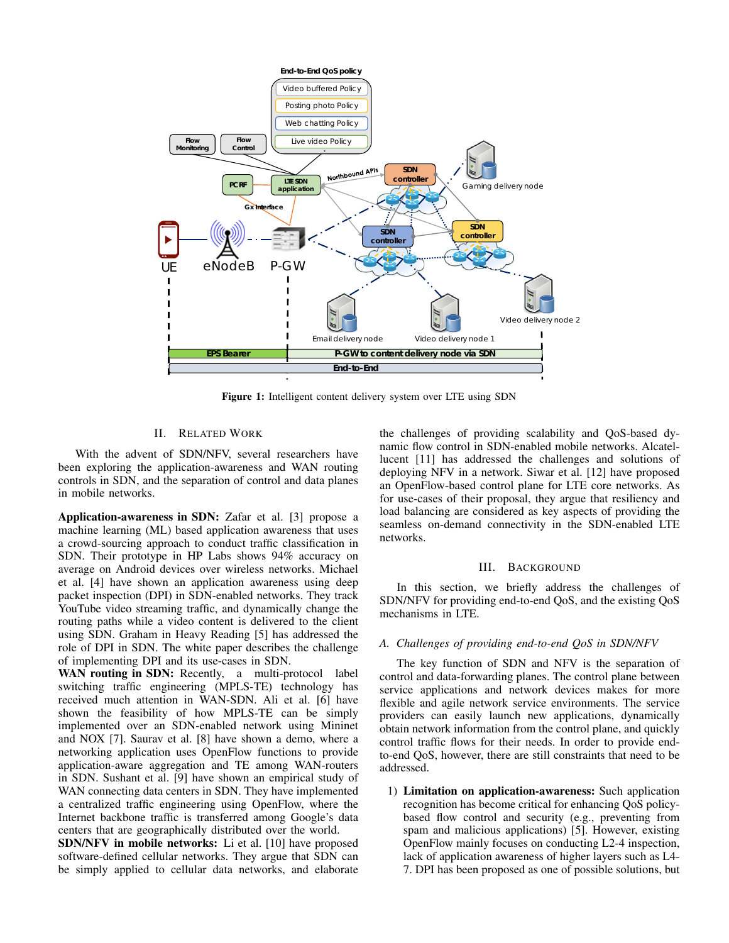

Figure 1: Intelligent content delivery system over LTE using SDN

# II. RELATED WORK

With the advent of SDN/NFV, several researchers have been exploring the application-awareness and WAN routing controls in SDN, and the separation of control and data planes in mobile networks.

Application-awareness in SDN: Zafar et al. [3] propose a machine learning (ML) based application awareness that uses a crowd-sourcing approach to conduct traffic classification in SDN. Their prototype in HP Labs shows 94% accuracy on average on Android devices over wireless networks. Michael et al. [4] have shown an application awareness using deep packet inspection (DPI) in SDN-enabled networks. They track YouTube video streaming traffic, and dynamically change the routing paths while a video content is delivered to the client using SDN. Graham in Heavy Reading [5] has addressed the role of DPI in SDN. The white paper describes the challenge of implementing DPI and its use-cases in SDN.

WAN routing in SDN: Recently, a multi-protocol label switching traffic engineering (MPLS-TE) technology has received much attention in WAN-SDN. Ali et al. [6] have shown the feasibility of how MPLS-TE can be simply implemented over an SDN-enabled network using Mininet and NOX [7]. Saurav et al. [8] have shown a demo, where a networking application uses OpenFlow functions to provide application-aware aggregation and TE among WAN-routers in SDN. Sushant et al. [9] have shown an empirical study of WAN connecting data centers in SDN. They have implemented a centralized traffic engineering using OpenFlow, where the Internet backbone traffic is transferred among Google's data centers that are geographically distributed over the world.

SDN/NFV in mobile networks: Li et al. [10] have proposed software-defined cellular networks. They argue that SDN can be simply applied to cellular data networks, and elaborate the challenges of providing scalability and QoS-based dynamic flow control in SDN-enabled mobile networks. Alcatellucent [11] has addressed the challenges and solutions of deploying NFV in a network. Siwar et al. [12] have proposed an OpenFlow-based control plane for LTE core networks. As for use-cases of their proposal, they argue that resiliency and load balancing are considered as key aspects of providing the seamless on-demand connectivity in the SDN-enabled LTE networks.

## III. BACKGROUND

In this section, we briefly address the challenges of SDN/NFV for providing end-to-end QoS, and the existing QoS mechanisms in LTE.

### *A. Challenges of providing end-to-end QoS in SDN/NFV*

The key function of SDN and NFV is the separation of control and data-forwarding planes. The control plane between service applications and network devices makes for more flexible and agile network service environments. The service providers can easily launch new applications, dynamically obtain network information from the control plane, and quickly control traffic flows for their needs. In order to provide endto-end QoS, however, there are still constraints that need to be addressed.

1) Limitation on application-awareness: Such application recognition has become critical for enhancing QoS policybased flow control and security (e.g., preventing from spam and malicious applications) [5]. However, existing OpenFlow mainly focuses on conducting L2-4 inspection, lack of application awareness of higher layers such as L4- 7. DPI has been proposed as one of possible solutions, but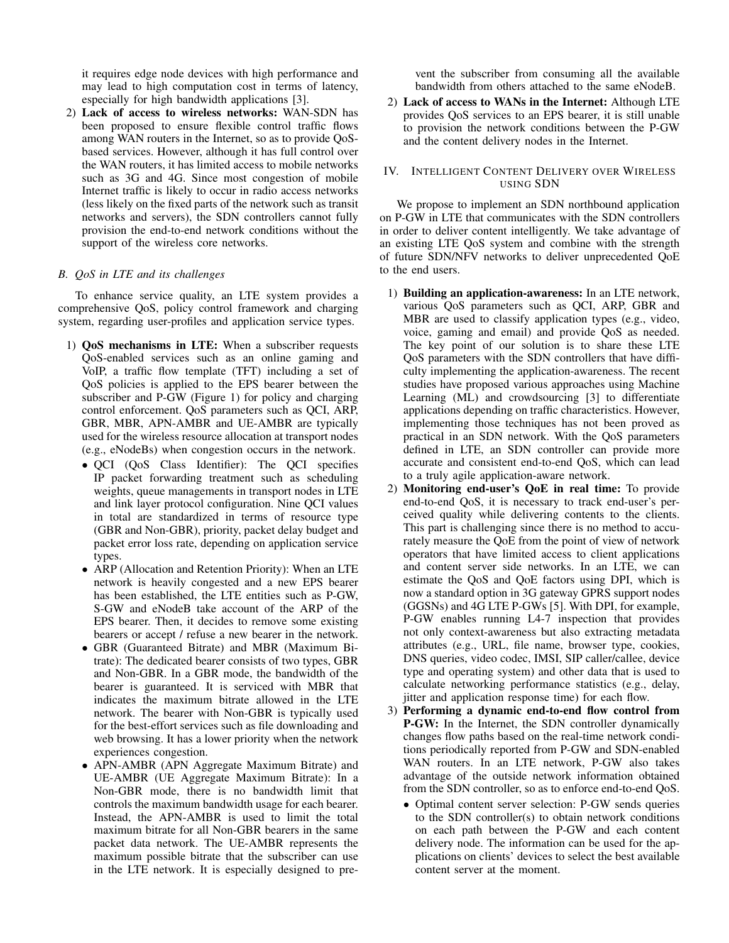it requires edge node devices with high performance and may lead to high computation cost in terms of latency, especially for high bandwidth applications [3].

2) Lack of access to wireless networks: WAN-SDN has been proposed to ensure flexible control traffic flows among WAN routers in the Internet, so as to provide QoSbased services. However, although it has full control over the WAN routers, it has limited access to mobile networks such as 3G and 4G. Since most congestion of mobile Internet traffic is likely to occur in radio access networks (less likely on the fixed parts of the network such as transit networks and servers), the SDN controllers cannot fully provision the end-to-end network conditions without the support of the wireless core networks.

# *B. QoS in LTE and its challenges*

To enhance service quality, an LTE system provides a comprehensive QoS, policy control framework and charging system, regarding user-profiles and application service types.

- 1) QoS mechanisms in LTE: When a subscriber requests QoS-enabled services such as an online gaming and VoIP, a traffic flow template (TFT) including a set of QoS policies is applied to the EPS bearer between the subscriber and P-GW (Figure 1) for policy and charging control enforcement. QoS parameters such as QCI, ARP, GBR, MBR, APN-AMBR and UE-AMBR are typically used for the wireless resource allocation at transport nodes (e.g., eNodeBs) when congestion occurs in the network.
	- QCI (QoS Class Identifier): The QCI specifies IP packet forwarding treatment such as scheduling weights, queue managements in transport nodes in LTE and link layer protocol configuration. Nine QCI values in total are standardized in terms of resource type (GBR and Non-GBR), priority, packet delay budget and packet error loss rate, depending on application service types.
	- ARP (Allocation and Retention Priority): When an LTE network is heavily congested and a new EPS bearer has been established, the LTE entities such as P-GW, S-GW and eNodeB take account of the ARP of the EPS bearer. Then, it decides to remove some existing bearers or accept / refuse a new bearer in the network.
	- GBR (Guaranteed Bitrate) and MBR (Maximum Bitrate): The dedicated bearer consists of two types, GBR and Non-GBR. In a GBR mode, the bandwidth of the bearer is guaranteed. It is serviced with MBR that indicates the maximum bitrate allowed in the LTE network. The bearer with Non-GBR is typically used for the best-effort services such as file downloading and web browsing. It has a lower priority when the network experiences congestion.
	- APN-AMBR (APN Aggregate Maximum Bitrate) and UE-AMBR (UE Aggregate Maximum Bitrate): In a Non-GBR mode, there is no bandwidth limit that controls the maximum bandwidth usage for each bearer. Instead, the APN-AMBR is used to limit the total maximum bitrate for all Non-GBR bearers in the same packet data network. The UE-AMBR represents the maximum possible bitrate that the subscriber can use in the LTE network. It is especially designed to pre-

vent the subscriber from consuming all the available bandwidth from others attached to the same eNodeB.

2) Lack of access to WANs in the Internet: Although LTE provides QoS services to an EPS bearer, it is still unable to provision the network conditions between the P-GW and the content delivery nodes in the Internet.

# IV. INTELLIGENT CONTENT DELIVERY OVER WIRELESS USING SDN

We propose to implement an SDN northbound application on P-GW in LTE that communicates with the SDN controllers in order to deliver content intelligently. We take advantage of an existing LTE QoS system and combine with the strength of future SDN/NFV networks to deliver unprecedented QoE to the end users.

- 1) Building an application-awareness: In an LTE network, various QoS parameters such as QCI, ARP, GBR and MBR are used to classify application types (e.g., video, voice, gaming and email) and provide QoS as needed. The key point of our solution is to share these LTE QoS parameters with the SDN controllers that have difficulty implementing the application-awareness. The recent studies have proposed various approaches using Machine Learning (ML) and crowdsourcing [3] to differentiate applications depending on traffic characteristics. However, implementing those techniques has not been proved as practical in an SDN network. With the QoS parameters defined in LTE, an SDN controller can provide more accurate and consistent end-to-end QoS, which can lead to a truly agile application-aware network.
- 2) Monitoring end-user's QoE in real time: To provide end-to-end QoS, it is necessary to track end-user's perceived quality while delivering contents to the clients. This part is challenging since there is no method to accurately measure the QoE from the point of view of network operators that have limited access to client applications and content server side networks. In an LTE, we can estimate the QoS and QoE factors using DPI, which is now a standard option in 3G gateway GPRS support nodes (GGSNs) and 4G LTE P-GWs [5]. With DPI, for example, P-GW enables running L4-7 inspection that provides not only context-awareness but also extracting metadata attributes (e.g., URL, file name, browser type, cookies, DNS queries, video codec, IMSI, SIP caller/callee, device type and operating system) and other data that is used to calculate networking performance statistics (e.g., delay, jitter and application response time) for each flow.
- 3) Performing a dynamic end-to-end flow control from P-GW: In the Internet, the SDN controller dynamically changes flow paths based on the real-time network conditions periodically reported from P-GW and SDN-enabled WAN routers. In an LTE network, P-GW also takes advantage of the outside network information obtained from the SDN controller, so as to enforce end-to-end QoS.
	- Optimal content server selection: P-GW sends queries to the SDN controller(s) to obtain network conditions on each path between the P-GW and each content delivery node. The information can be used for the applications on clients' devices to select the best available content server at the moment.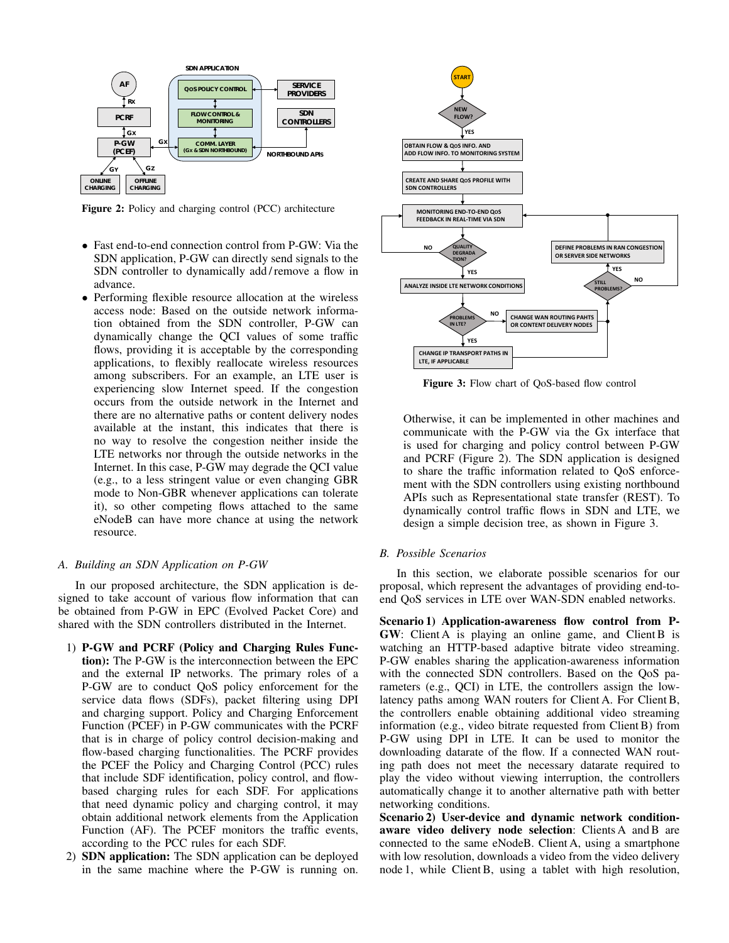

Figure 2: Policy and charging control (PCC) architecture

- Fast end-to-end connection control from P-GW: Via the SDN application, P-GW can directly send signals to the SDN controller to dynamically add / remove a flow in advance.
- Performing flexible resource allocation at the wireless access node: Based on the outside network information obtained from the SDN controller, P-GW can dynamically change the QCI values of some traffic flows, providing it is acceptable by the corresponding applications, to flexibly reallocate wireless resources among subscribers. For an example, an LTE user is experiencing slow Internet speed. If the congestion occurs from the outside network in the Internet and there are no alternative paths or content delivery nodes available at the instant, this indicates that there is no way to resolve the congestion neither inside the LTE networks nor through the outside networks in the Internet. In this case, P-GW may degrade the QCI value (e.g., to a less stringent value or even changing GBR mode to Non-GBR whenever applications can tolerate it), so other competing flows attached to the same eNodeB can have more chance at using the network resource.

#### *A. Building an SDN Application on P-GW*

In our proposed architecture, the SDN application is designed to take account of various flow information that can be obtained from P-GW in EPC (Evolved Packet Core) and shared with the SDN controllers distributed in the Internet.

- 1) P-GW and PCRF (Policy and Charging Rules Function): The P-GW is the interconnection between the EPC and the external IP networks. The primary roles of a P-GW are to conduct QoS policy enforcement for the service data flows (SDFs), packet filtering using DPI and charging support. Policy and Charging Enforcement Function (PCEF) in P-GW communicates with the PCRF that is in charge of policy control decision-making and flow-based charging functionalities. The PCRF provides the PCEF the Policy and Charging Control (PCC) rules that include SDF identification, policy control, and flowbased charging rules for each SDF. For applications that need dynamic policy and charging control, it may obtain additional network elements from the Application Function (AF). The PCEF monitors the traffic events, according to the PCC rules for each SDF.
- 2) SDN application: The SDN application can be deployed in the same machine where the P-GW is running on.



Figure 3: Flow chart of QoS-based flow control

Otherwise, it can be implemented in other machines and communicate with the P-GW via the Gx interface that is used for charging and policy control between P-GW and PCRF (Figure 2). The SDN application is designed to share the traffic information related to QoS enforcement with the SDN controllers using existing northbound APIs such as Representational state transfer (REST). To dynamically control traffic flows in SDN and LTE, we design a simple decision tree, as shown in Figure 3.

# *B. Possible Scenarios*

In this section, we elaborate possible scenarios for our proposal, which represent the advantages of providing end-toend QoS services in LTE over WAN-SDN enabled networks.

Scenario 1) Application-awareness flow control from P-GW: Client A is playing an online game, and Client B is watching an HTTP-based adaptive bitrate video streaming. P-GW enables sharing the application-awareness information with the connected SDN controllers. Based on the QoS parameters (e.g., QCI) in LTE, the controllers assign the lowlatency paths among WAN routers for Client A. For Client B, the controllers enable obtaining additional video streaming information (e.g., video bitrate requested from Client B) from P-GW using DPI in LTE. It can be used to monitor the downloading datarate of the flow. If a connected WAN routing path does not meet the necessary datarate required to play the video without viewing interruption, the controllers automatically change it to another alternative path with better networking conditions.

Scenario 2) User-device and dynamic network conditionaware video delivery node selection: Clients A and B are connected to the same eNodeB. Client A, using a smartphone with low resolution, downloads a video from the video delivery node 1, while Client B, using a tablet with high resolution,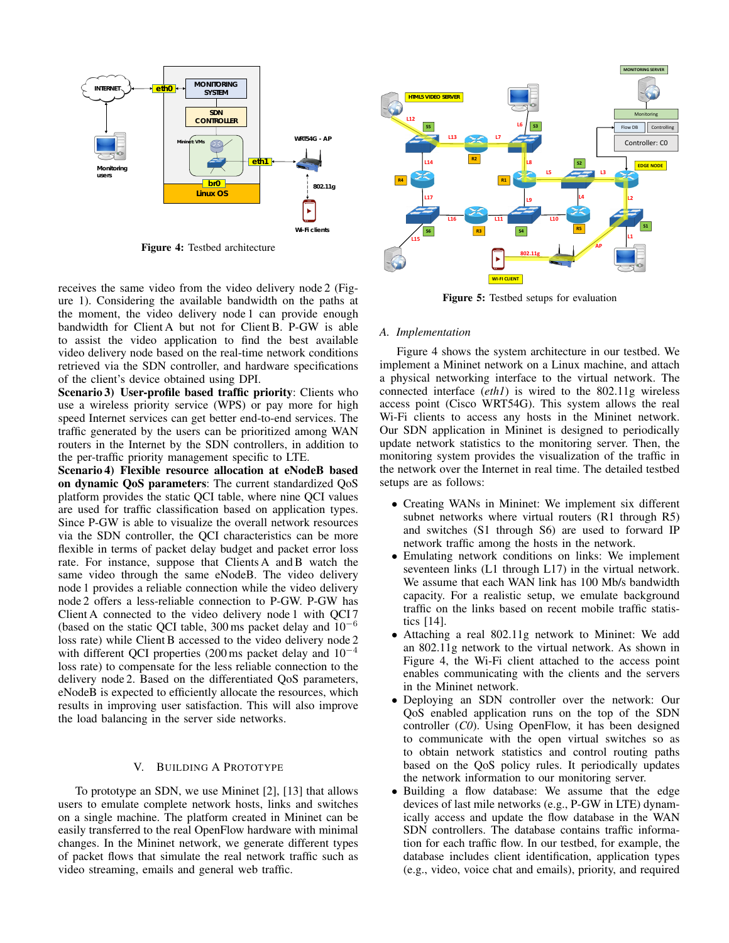

Figure 4: Testbed architecture

receives the same video from the video delivery node 2 (Figure 1). Considering the available bandwidth on the paths at the moment, the video delivery node 1 can provide enough bandwidth for Client A but not for Client B. P-GW is able to assist the video application to find the best available video delivery node based on the real-time network conditions retrieved via the SDN controller, and hardware specifications of the client's device obtained using DPI.

Scenario 3) User-profile based traffic priority: Clients who use a wireless priority service (WPS) or pay more for high speed Internet services can get better end-to-end services. The traffic generated by the users can be prioritized among WAN routers in the Internet by the SDN controllers, in addition to the per-traffic priority management specific to LTE.

Scenario 4) Flexible resource allocation at eNodeB based on dynamic QoS parameters: The current standardized QoS platform provides the static QCI table, where nine QCI values are used for traffic classification based on application types. Since P-GW is able to visualize the overall network resources via the SDN controller, the QCI characteristics can be more flexible in terms of packet delay budget and packet error loss rate. For instance, suppose that Clients A and B watch the same video through the same eNodeB. The video delivery node 1 provides a reliable connection while the video delivery node 2 offers a less-reliable connection to P-GW. P-GW has Client A connected to the video delivery node 1 with QCI 7 (based on the static QCI table, 300 ms packet delay and 10<sup>−</sup><sup>6</sup> loss rate) while Client B accessed to the video delivery node 2 with different QCI properties (200 ms packet delay and  $10^{-4}$ loss rate) to compensate for the less reliable connection to the delivery node 2. Based on the differentiated QoS parameters, eNodeB is expected to efficiently allocate the resources, which results in improving user satisfaction. This will also improve the load balancing in the server side networks.

# V. BUILDING A PROTOTYPE

To prototype an SDN, we use Mininet [2], [13] that allows users to emulate complete network hosts, links and switches on a single machine. The platform created in Mininet can be easily transferred to the real OpenFlow hardware with minimal changes. In the Mininet network, we generate different types of packet flows that simulate the real network traffic such as video streaming, emails and general web traffic.



Figure 5: Testbed setups for evaluation

## *A. Implementation*

Figure 4 shows the system architecture in our testbed. We implement a Mininet network on a Linux machine, and attach a physical networking interface to the virtual network. The connected interface (*eth1*) is wired to the 802.11g wireless access point (Cisco WRT54G). This system allows the real Wi-Fi clients to access any hosts in the Mininet network. Our SDN application in Mininet is designed to periodically update network statistics to the monitoring server. Then, the monitoring system provides the visualization of the traffic in the network over the Internet in real time. The detailed testbed setups are as follows:

- Creating WANs in Mininet: We implement six different subnet networks where virtual routers (R1 through R5) and switches (S1 through S6) are used to forward IP network traffic among the hosts in the network.
- Emulating network conditions on links: We implement seventeen links (L1 through L17) in the virtual network. We assume that each WAN link has 100 Mb/s bandwidth capacity. For a realistic setup, we emulate background traffic on the links based on recent mobile traffic statistics [14].
- Attaching a real 802.11g network to Mininet: We add an 802.11g network to the virtual network. As shown in Figure 4, the Wi-Fi client attached to the access point enables communicating with the clients and the servers in the Mininet network.
- Deploying an SDN controller over the network: Our QoS enabled application runs on the top of the SDN controller (*C0*). Using OpenFlow, it has been designed to communicate with the open virtual switches so as to obtain network statistics and control routing paths based on the QoS policy rules. It periodically updates the network information to our monitoring server.
- Building a flow database: We assume that the edge devices of last mile networks (e.g., P-GW in LTE) dynamically access and update the flow database in the WAN SDN controllers. The database contains traffic information for each traffic flow. In our testbed, for example, the database includes client identification, application types (e.g., video, voice chat and emails), priority, and required